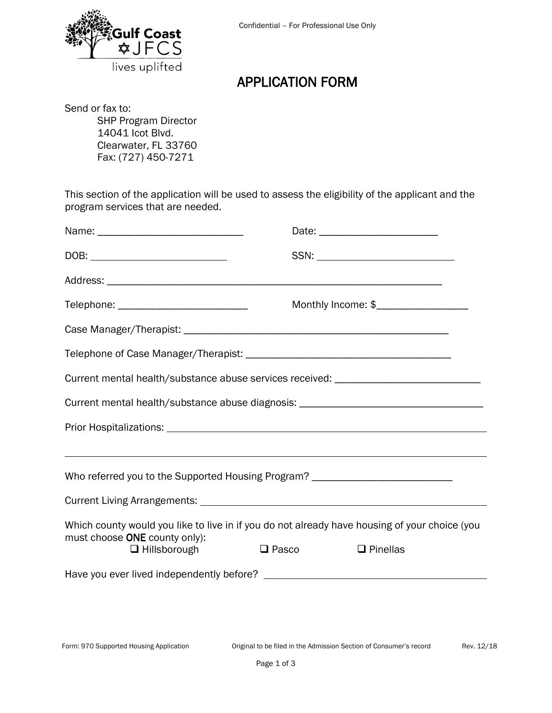

## APPLICATION FORM

Send or fax to: SHP Program Director 14041 Icot Blvd. Clearwater, FL 33760 Fax: (727) 450-7271

This section of the application will be used to assess the eligibility of the applicant and the program services that are needed.

|                                                                                                                                |              | Date: 2008 2010 2010 2021 2022 2023 2024 2022 2023 2024 2022 2023 2024 2022 2023 2024 2022 2023 2024 2025 2026 |  |  |  |  |
|--------------------------------------------------------------------------------------------------------------------------------|--------------|----------------------------------------------------------------------------------------------------------------|--|--|--|--|
|                                                                                                                                |              | SSN: ___________________________                                                                               |  |  |  |  |
|                                                                                                                                |              |                                                                                                                |  |  |  |  |
|                                                                                                                                |              | Monthly Income: \$__________________                                                                           |  |  |  |  |
|                                                                                                                                |              |                                                                                                                |  |  |  |  |
|                                                                                                                                |              |                                                                                                                |  |  |  |  |
| Current mental health/substance abuse services received: _______________________                                               |              |                                                                                                                |  |  |  |  |
| Current mental health/substance abuse diagnosis: _______________________________                                               |              |                                                                                                                |  |  |  |  |
| Prior Hospitalizations: Law Communication Communication of the Communication Communication Communication Communication         |              |                                                                                                                |  |  |  |  |
|                                                                                                                                |              |                                                                                                                |  |  |  |  |
| Who referred you to the Supported Housing Program? _____________________________                                               |              |                                                                                                                |  |  |  |  |
|                                                                                                                                |              |                                                                                                                |  |  |  |  |
| Which county would you like to live in if you do not already have housing of your choice (you<br>must choose ONE county only): |              |                                                                                                                |  |  |  |  |
| $\Box$ Hillsborough                                                                                                            | $\Box$ Pasco | $\Box$ Pinellas                                                                                                |  |  |  |  |
|                                                                                                                                |              |                                                                                                                |  |  |  |  |
|                                                                                                                                |              |                                                                                                                |  |  |  |  |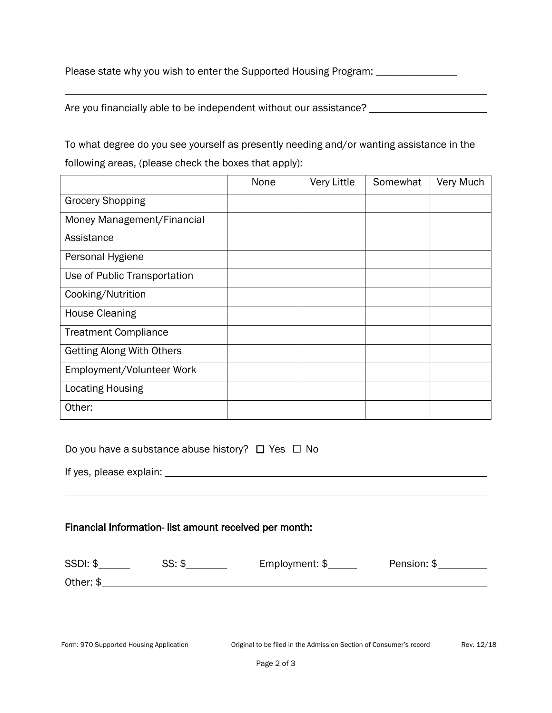Please state why you wish to enter the Supported Housing Program: \_\_\_\_\_\_\_\_\_\_\_\_\_\_

Are you financially able to be independent without our assistance? \_\_\_\_\_\_\_\_\_\_\_\_\_\_

To what degree do you see yourself as presently needing and/or wanting assistance in the following areas, (please check the boxes that apply):

|                                  | None | <b>Very Little</b> | Somewhat | Very Much |
|----------------------------------|------|--------------------|----------|-----------|
| <b>Grocery Shopping</b>          |      |                    |          |           |
| Money Management/Financial       |      |                    |          |           |
| Assistance                       |      |                    |          |           |
| Personal Hygiene                 |      |                    |          |           |
| Use of Public Transportation     |      |                    |          |           |
| Cooking/Nutrition                |      |                    |          |           |
| <b>House Cleaning</b>            |      |                    |          |           |
| <b>Treatment Compliance</b>      |      |                    |          |           |
| <b>Getting Along With Others</b> |      |                    |          |           |
| Employment/Volunteer Work        |      |                    |          |           |
| <b>Locating Housing</b>          |      |                    |          |           |
| Other:                           |      |                    |          |           |

| Do you have a substance abuse history? $\Box$ Yes $\Box$ No |  |
|-------------------------------------------------------------|--|
|                                                             |  |

If yes, please explain:

 $\overline{a}$ 

 $\overline{a}$ 

## Financial Information- list amount received per month:

| SSDI: \$  | SS: \$ | Employment: \$ | Pension: \$ |
|-----------|--------|----------------|-------------|
| Other: \$ |        |                |             |